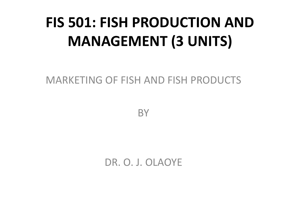# **FIS 501: FISH PRODUCTION AND MANAGEMENT (3 UNITS)**

MARKETING OF FISH AND FISH PRODUCTS

**BY** 

DR. O. J. OLAOYE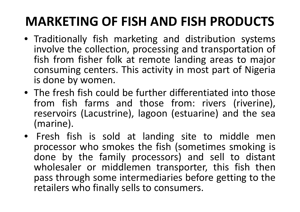# **MARKETING OF FISH AND FISH PRODUCTS**

- Traditionally fish marketing and distribution systems involve the collection, processing and transportation of fish from fisher folk at remote landing areas to major<br>consuming centers. This activity in most nart of Nigeria consuming centers. This activity in most part of Nigeria is done by women.
- The fresh fish could be further differentiated into those from fish farms and those from: rivers (riverine),<br>reservoirs (Lacustrine) Jagoon-(estuarine) and the sea reservoirs (Lacustrine), lagoon (estuarine) and the sea (marine).
- Fresh fish is sold at landing site to middle men processor who smokes the fish (sometimes smoking is done by the family processors) and sell to distant wholesaler or middlemen transporter, this fish thenpass through some intermediaries before getting to the retailers who finally sells to consumers.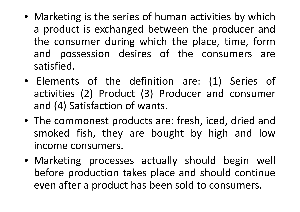- Marketing is the series of human activities by which a product is exchanged between the producer and the consumer during which the place, time, formand possession desires of the consumers are satisfied.
- Elements of the definition are: (1) Series of activities (2) Product (3) Producer and consumer and (4) Satisfaction of wants.
- The commonest products are: fresh, iced, dried and smoked fish, they are bought by high and lowincome consumers.
- Marketing processes actually should begin well before production takes place and should continue even after <sup>a</sup> product has been sold to consumers.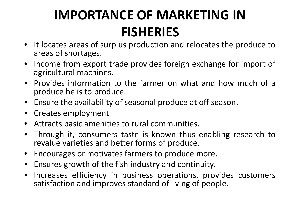# **IMPORTANCE OF MARKETING IN FISHERIES**

- It locates areas of surplus production and relocates the produce toareas of shortages.
- •• Income from export trade provides foreign exchange for import of<br>agricultural machines agricultural machines.
- •• Provides information to the farmer on what and how much of a<br>encoduce he is to produce produce he is to produce.
- Ensure the availability of seasonal produce at off season.
- $\bullet$ Creates employment
- •Attracts basic amenities to rural communities.
- •• Through it, consumers taste is known thus enabling research to revalue varieties and better forms of produce.
- $\bullet$ Encourages or motivates farmers to produce more.
- $\bullet$ Ensures growth of the fish industry and continuity.
- $\bullet$  Increases efficiency in business operations, provides customers satisfaction and improves standard of living of people.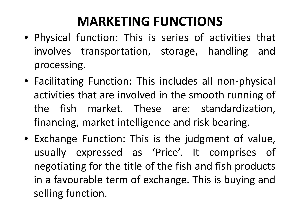# **MARKETING FUNCTIONS**

- Physical function: This is series of activities that involves transportation, storage, handling andprocessing.
- Facilitating Function: This includes all non-physical activities that are involved in the smooth running of the fish market. These are: standardization, financing, market intelligence and risk bearing.
- Exchange Function: This is the judgment of value, usually expressed as 'Price'. It comprises of negotiating for the title of the fish and fish products in a favourable term of exchange. This is buying and<br>selling function selling function.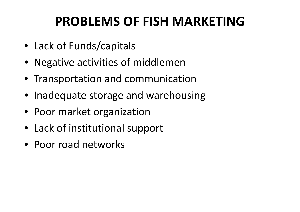# **PROBLEMS OF FISH MARKETING**

- Lack of Funds/capitals
- Negative activities of middlemen
- Transportation and communication
- Inadequate storage and warehousing
- Poor market organization
- Lack of institutional support
- Poor road networks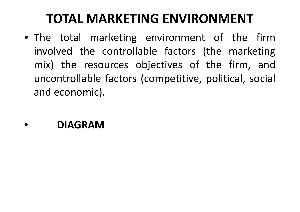# **TOTAL MARKETING ENVIRONMENT**

- The total marketing environment of the firminvolved the controllable factors (the marketing mix) the resources objectives of the firm, and uncontrollable factors (competitive, political, social and economic).
- •**DIAGRAM**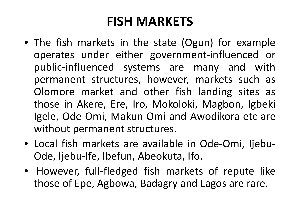## **FISH MARKETS**

- The fish markets in the state (Ogun) for example operates under either government-influenced or public-influenced systems are many and with permanent structures, however, markets such as Olomore market and other fish landing sites as those in Akere, Ere, Iro, Mokoloki, Magbon, Igbeki<br>. Igele, Ode-Omi, Makun-Omi and Awodikora etc are without permanent structures.
- Local fish markets are available in Ode-Omi, Ijebu- Ode, Ijebu-Ife, Ibefun, Abeokuta, Ifo.
- However, full-fledged fish markets of repute like those of Epe, Agbowa, Badagry and Lagos are rare.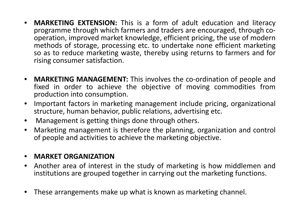- •**MARKETING EXTENSION:** This is a form of adult education and literacy<br>- nrogramme through which farmers and traders are encouraged through coprogramme through which farmers and traders are encouraged, through cooperation, improved market knowledge, efficient pricing, the use of modern methods of storage, processing etc. to undertake none efficient marketing so as to reduce marketing waste, thereby using returns to farmers and for rising consumer satisfaction.
- $\bullet$ **MARKETING MANAGEMENT:** This involves the co-ordination of people and fixed in order to achieve the objective of moving commodities fromproduction into consumption.
- •• Important factors in marketing management include pricing, organizational structure, human behavior, public relations, advertising etc.
- $\bullet$ Management is getting things done through others.
- $\bullet$ • Marketing management is therefore the planning, organization and control of people and activities to achieve the marketing objective.

#### •**MARKET ORGANIZATION**

- Another area of interest in the study of marketing is how middlemen and  $\bullet$ institutions are grouped together in carrying out the marketing functions.
- •These arrangements make up what is known as marketing channel.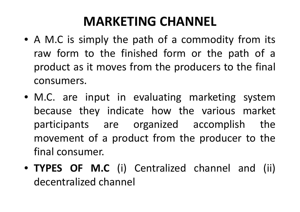## **MARKETING CHANNEL**

- A M.C is simply the path of a commodity from its<br> raw form to the finished form or the path of a product as it moves from the producers to the final<br>servative are consumers.
- M.C. are input in evaluating marketing systembecause they indicate how the various market participants are organized accomplish the movement of a product from the producer to the<br>final canculates final consumer.
- **TYPES OF M.C** (i) Centralized channel and (ii) decentralized channel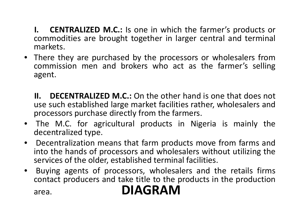- **I. CENTRALIZED M.C.:** Is one in which the farmer's products or commodities are brought together in larger central and terminal markets.
- There they are purchased by the processors or wholesalers fromcommission men and brokers who act as the farmer's selling agent.
	- **II. DECENTRALIZED M.C.:** On the other hand is one that does not use such established large market facilities rather, wholesalers and processors purchase directly from the farmers.<br>The MG for equipultural meadupts in Nig
- The M.C. for agricultural products in Nigeria is mainly the decentralized type.
- $\bullet$ **•** Decentralization means that farm products move from farms and<br>into the hands of processors and wholesalers without utilizing the into the hands of processors and wholesalers without utilizing the services of the older, established terminal facilities.
- • Buying agents of processors, wholesalers and the retails firms contact producers and take title to the products in the productionarea.**DIAGRAM**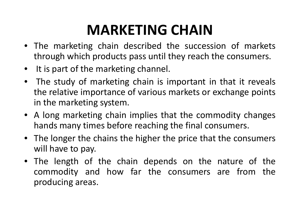# **MARKETING CHAIN**

- The marketing chain described the succession of markets through which products pass until they reach the consumers.
- $\bullet$ It is part of the marketing channel.
- $\bullet$  The study of marketing chain is important in that it reveals the relative importance of various markets or exchange points in the marketing system.
- <sup>A</sup> long marketing chain implies that the commodity changes hands many times before reaching the final consumers.
- The longer the chains the higher the price that the consumers will have to pay.
- The length of the chain depends on the nature of the commodity and how far the consumers are from the<br>producing.aroas producing areas.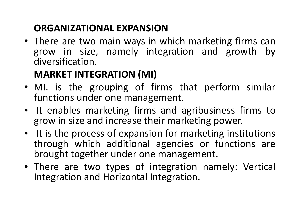#### **ORGANIZATIONAL EXPANSION**

 • There are two main ways in which marketing firms cangrow in size, namely integration and growth by<br>diversification diversification.

# **MARKET INTEGRATION (MI)**

- MI. is the grouping of firms that perform similar functions under one management.
- It enables marketing firms and agribusiness firms to grow in size and increase their marketing power.<br>All the site of their contractions in the site of
- It is the process of expansion for marketing institutions through which additional agencies or functions are brought together under one management.
- There are two types of integration namely: Vertical Integration and Horizontal Integration.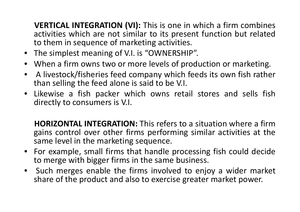**VERTICAL INTEGRATION (VI):** This is one in which <sup>a</sup> firm combines activities which are not similar to its present function but relatedto them in sequence of marketing activities.<br>The simplest meaning of VL is "QWAFRSLUE

- The simplest meaning of V.I. is "OWNERSHIP".
- •• When a firm owns two or more levels of production or marketing.<br>• A livesteak (fisheries food company which foods its own fish raths
- •• A livestock/fisheries feed company which feeds its own fish rather than selling the feed alone is said to be V.I.
- • Likewise <sup>a</sup> fish packer which owns retail stores and sells fishdirectly to consumers is V.I.

**HORIZONTAL INTEGRATION:** This refers to <sup>a</sup> situation where <sup>a</sup> firmgains control over other firms performing similar activities at the same level in the marketing sequence.

- For example, small firms that handle processing fish could decide to merge with bigger firms in the same business.
- $\bullet$  Such merges enable the firms involved to enjoy <sup>a</sup> wider market share of the product and also to exercise greater market power.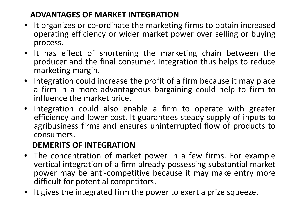#### **ADVANTAGES OF MARKET INTEGRATION**

- It organizes or co-ordinate the marketing firms to obtain increased operating efficiency or wider market power over selling or buying process.
- It has effect of shortening the marketing chain between the producer and the final consumer. Integration thus helps to reduce marketing margin.
- Integration could increase the profit of <sup>a</sup> firm because it may place a firm in a more advantageous bargaining could help to firm to<br>influence the market price influence the market price.
- Integration could also enable <sup>a</sup> firm to operate with greater efficiency and lower cost. It guarantees steady supply of inputs toagribusiness firms and ensures uninterrupted flow of products to<br>consumers consumers.

#### **DEMERITS OF INTEGRATION**

- The concentration of market power in a few firms. For example<br>vertical integration of a firm already possessing substantial market vertical integration of a firm already possessing substantial market<br>nower may he anti-competitive because it may make entry more power may be anti-competitive because it may make entry more difficult for potential competitors.
- •• It gives the integrated firm the power to exert a prize squeeze.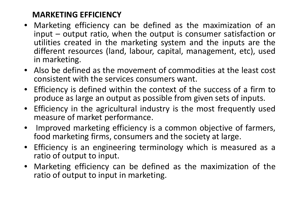#### **MARKETING EFFICIENCY**

- Marketing efficiency can be defined as the maximization of an input – output ratio, when the output is consumer satisfaction or utilities created in the marketing system and the inputs are the<br>different resources (land labour canital management etc) used different resources (land, labour, capital, management, etc), usedin marketing.
- Also be defined as the movement of commodities at the least cost consistent with the services consumers want.
- • Efficiency is defined within the context of the success of <sup>a</sup> firm to produce as large an output as possible from given sets of inputs.<br>Efficiency in the equipultural industry is the moot frequently us
- •• Efficiency in the agricultural industry is the most frequently used measure of market performance.
- • Improved marketing efficiency is <sup>a</sup> common objective of farmers, food marketing firms, consumers and the society at large.
- $\bullet$ • Efficiency is an engineering terminology which is measured as a ratio of output to input.
- • Marketing efficiency can be defined as the maximization of the ratio of output to input in marketing.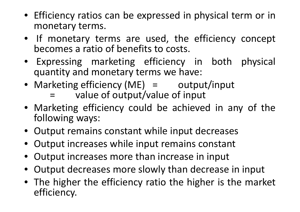- Efficiency ratios can be expressed in physical term or in monetary terms.
- If monetary terms are used, the efficiency concept becomes <sup>a</sup> ratio of benefits to costs.
- Expressing marketing efficiency in both physical quantity and monetary terms we have:
- Marketing efficiency (ME) = output/input =value of output/value of input
- Marketing efficiency could be achieved in any of the following ways:
- Output remains constant while input decreases
- Output increases while input remains constant
- •Output increases more than increase in input
- •Output decreases more slowly than decrease in input
- The higher the efficiency ratio the higher is the market efficiency.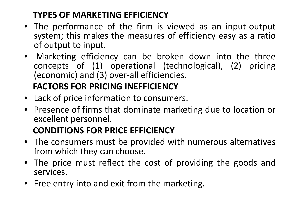### **TYPES OF MARKETING EFFICIENCY**

- The performance of the firm is viewed as an input-output<br>system: this makes the measures of efficiency easy as a ratio system; this makes the measures of efficiency easy as <sup>a</sup> ratioof output to input.
- $\bullet$  Marketing efficiency can be broken down into the three concepts of (1) operational (technological), (2) pricing (economic) and (3) over-all efficiencies.

### **FACTORS FOR PRICING INEFFICIENCY**

- Lack of price information to consumers.
- Presence of firms that dominate marketing due to location or excellent personnel.

#### **CONDITIONS FOR PRICE EFFICIENCY**

- The consumers must be provided with numerous alternatives from which they can choose.<br>The issues result reflect, the
- The price must reflect the cost of providing the goods andservices.
- Free entry into and exit from the marketing.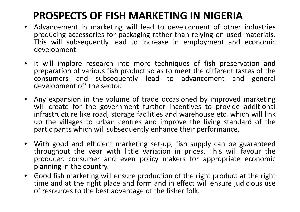# **PROSPECTS OF FISH MARKETING IN NIGERIA**

- Advancement in marketing will lead to development of other industries producing accessories for packaging rather than relying on used materials. This will subsequently lead to increase in employment and economic development.
- It will implore research into more techniques of fish preservation and preparation of various fish product so as to meet the different tastes of the consumers and subsequently lead to advancement and general development of' the sector.
- • Any expansion in the volume of trade occasioned by improved marketing will create for the government further incentives to provide additional infrastructure like road, storage facilities and warehouse etc. which will link up the villages to urban centres and improve the living standard of the participants which will subsequently enhance their performance.
- With good and efficient marketing set-up, fish supply can be guaranteed throughout the year with little variation in prices. This will favour the producer, consumer and even policy makers for appropriate economic planning in the country.
- • Good fish marketing will ensure production of the right product at the right time and at the right place and form and in effect will ensure judicious use<br>of resources to the best advantage of the fisher folk of resources to the best advantage of the fisher folk.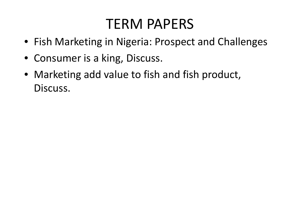# TERM PAPERS

- Fish Marketing in Nigeria: Prospect and Challenges
- Consumer is a king, Discuss.
- Marketing add value to fish and fish product, Discuss.